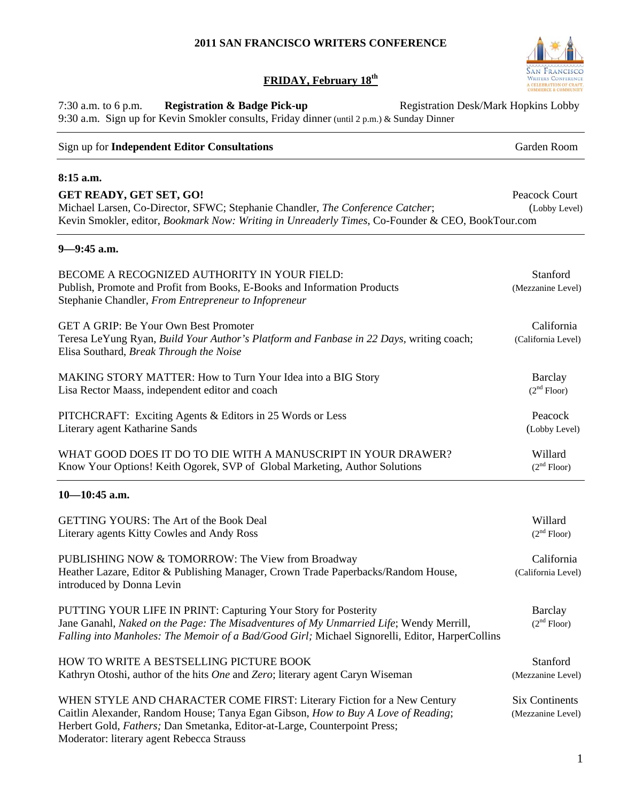#### **2011 SAN FRANCISCO WRITERS CONFERENCE**

# **FRIDAY, February 18th**

7:30 a.m. to 6 p.m. **Registration & Badge Pick-up** Registration Desk/Mark Hopkins Lobby 9:30 a.m. Sign up for Kevin Smokler consults, Friday dinner (until 2 p.m.) & Sunday Dinner

## Sign up for **Independent Editor Consultations Garden Room** Garden Room

#### **8:15 a.m.**

GET READY, GET SET, GO! Peacock Court Michael Larsen, Co-Director, SFWC; Stephanie Chandler, *The Conference Catcher*; (Lobby Level) Kevin Smokler, editor, *Bookmark Now: Writing in Unreaderly Times*, Co-Founder & CEO, BookTour.com

#### **9—9:45 a.m.**

| BECOME A RECOGNIZED AUTHORITY IN YOUR FIELD:<br>Publish, Promote and Profit from Books, E-Books and Information Products<br>Stephanie Chandler, From Entrepreneur to Infopreneur                                                                                                       | Stanford<br>(Mezzanine Level)              |
|----------------------------------------------------------------------------------------------------------------------------------------------------------------------------------------------------------------------------------------------------------------------------------------|--------------------------------------------|
| GET A GRIP: Be Your Own Best Promoter<br>Teresa LeYung Ryan, Build Your Author's Platform and Fanbase in 22 Days, writing coach;<br>Elisa Southard, Break Through the Noise                                                                                                            | California<br>(California Level)           |
| MAKING STORY MATTER: How to Turn Your Idea into a BIG Story<br>Lisa Rector Maass, independent editor and coach                                                                                                                                                                         | <b>Barclay</b><br>(2 <sup>nd</sup> Floor)  |
| PITCHCRAFT: Exciting Agents & Editors in 25 Words or Less<br>Literary agent Katharine Sands                                                                                                                                                                                            | Peacock<br>(Lobby Level)                   |
| WHAT GOOD DOES IT DO TO DIE WITH A MANUSCRIPT IN YOUR DRAWER?<br>Know Your Options! Keith Ogorek, SVP of Global Marketing, Author Solutions                                                                                                                                            | Willard<br>(2 <sup>nd</sup> Floor)         |
| $10 - 10:45$ a.m.                                                                                                                                                                                                                                                                      |                                            |
| <b>GETTING YOURS: The Art of the Book Deal</b><br>Literary agents Kitty Cowles and Andy Ross                                                                                                                                                                                           | Willard<br>(2 <sup>nd</sup> Floor)         |
| PUBLISHING NOW & TOMORROW: The View from Broadway<br>Heather Lazare, Editor & Publishing Manager, Crown Trade Paperbacks/Random House,<br>introduced by Donna Levin                                                                                                                    | California<br>(California Level)           |
| PUTTING YOUR LIFE IN PRINT: Capturing Your Story for Posterity<br>Jane Ganahl, Naked on the Page: The Misadventures of My Unmarried Life; Wendy Merrill,<br>Falling into Manholes: The Memoir of a Bad/Good Girl; Michael Signorelli, Editor, HarperCollins                            | Barclay<br>(2 <sup>nd</sup> Floor)         |
| HOW TO WRITE A BESTSELLING PICTURE BOOK<br>Kathryn Otoshi, author of the hits One and Zero; literary agent Caryn Wiseman                                                                                                                                                               | Stanford<br>(Mezzanine Level)              |
| WHEN STYLE AND CHARACTER COME FIRST: Literary Fiction for a New Century<br>Caitlin Alexander, Random House; Tanya Egan Gibson, How to Buy A Love of Reading;<br>Herbert Gold, Fathers; Dan Smetanka, Editor-at-Large, Counterpoint Press;<br>Moderator: literary agent Rebecca Strauss | <b>Six Continents</b><br>(Mezzanine Level) |

1

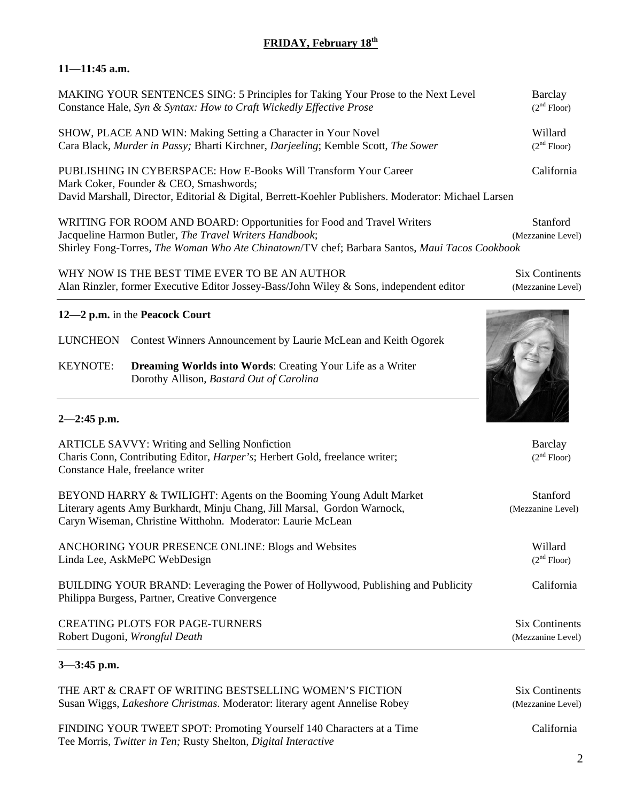## **FRIDAY, February 18th**

## **11—11:45 a.m.**

| MAKING YOUR SENTENCES SING: 5 Principles for Taking Your Prose to the Next Level                                                                                                                                   | Barclay                 |
|--------------------------------------------------------------------------------------------------------------------------------------------------------------------------------------------------------------------|-------------------------|
| Constance Hale, Syn & Syntax: How to Craft Wickedly Effective Prose                                                                                                                                                | (2 <sup>nd</sup> Floor) |
| SHOW, PLACE AND WIN: Making Setting a Character in Your Novel                                                                                                                                                      | Willard                 |
| Cara Black, Murder in Passy; Bharti Kirchner, Darjeeling; Kemble Scott, The Sower                                                                                                                                  | (2 <sup>nd</sup> Floor) |
| PUBLISHING IN CYBERSPACE: How E-Books Will Transform Your Career<br>Mark Coker, Founder & CEO, Smashwords;<br>David Marshall, Director, Editorial & Digital, Berrett-Koehler Publishers. Moderator: Michael Larsen | California              |
| WDITING EOD DOOM AND DOADD. Opportunities for Easel and Trevel Writers                                                                                                                                             | $C$ tonfond             |

WRITING FOR ROOM AND BOARD: Opportunities for Food and Travel Writers Stanford Jacqueline Harmon Butler, *The Travel Writers Handbook*; (Mezzanine Level) Shirley Fong-Torres, *The Woman Who Ate Chinatown*/TV chef; Barbara Santos, *Maui Tacos Cookbook* 

WHY NOW IS THE BEST TIME EVER TO BE AN AUTHOR SIX Continents Alan Rinzler, former Executive Editor Jossey-Bass/John Wiley & Sons, independent editor (Mezzanine Level)

#### **12—2 p.m.** in the **Peacock Court**

LUNCHEON Contest Winners Announcement by Laurie McLean and Keith Ogorek

KEYNOTE: **Dreaming Worlds into Words**: Creating Your Life as a Writer Dorothy Allison, *Bastard Out of Carolina* 

## **2—2:45 p.m.**

| <b>ARTICLE SAVVY: Writing and Selling Nonfiction</b><br>Charis Conn, Contributing Editor, <i>Harper's</i> ; Herbert Gold, freelance writer;<br>Constance Hale, freelance writer                              | Barclay<br>(2 <sup>nd</sup> Floor)   |
|--------------------------------------------------------------------------------------------------------------------------------------------------------------------------------------------------------------|--------------------------------------|
| BEYOND HARRY & TWILIGHT: Agents on the Booming Young Adult Market<br>Literary agents Amy Burkhardt, Minju Chang, Jill Marsal, Gordon Warnock,<br>Caryn Wiseman, Christine Witthohn. Moderator: Laurie McLean | <b>Stanford</b><br>(Mezzanine Level) |
| ANCHORING YOUR PRESENCE ONLINE: Blogs and Websites<br>Linda Lee, AskMePC WebDesign                                                                                                                           | Willard<br>(2 <sup>nd</sup> Floor)   |
| BUILDING YOUR BRAND: Leveraging the Power of Hollywood, Publishing and Publicity<br>Philippa Burgess, Partner, Creative Convergence                                                                          | California                           |
| <b>CREATING PLOTS FOR PAGE-TURNERS</b><br>Robert Dugoni, Wrongful Death                                                                                                                                      | Six Continents<br>(Mezzanine Level)  |
| $2.45 - 1.5$                                                                                                                                                                                                 |                                      |

#### **3—3:45 p.m.**

| THE ART & CRAFT OF WRITING BESTSELLING WOMEN'S FICTION                             | <b>Six Continents</b> |
|------------------------------------------------------------------------------------|-----------------------|
| Susan Wiggs, <i>Lakeshore Christmas</i> . Moderator: literary agent Annelise Robey | (Mezzanine Level)     |

FINDING YOUR TWEET SPOT: Promoting Yourself 140 Characters at a Time California Tee Morris, *Twitter in Ten;* Rusty Shelton, *Digital Interactive* 

2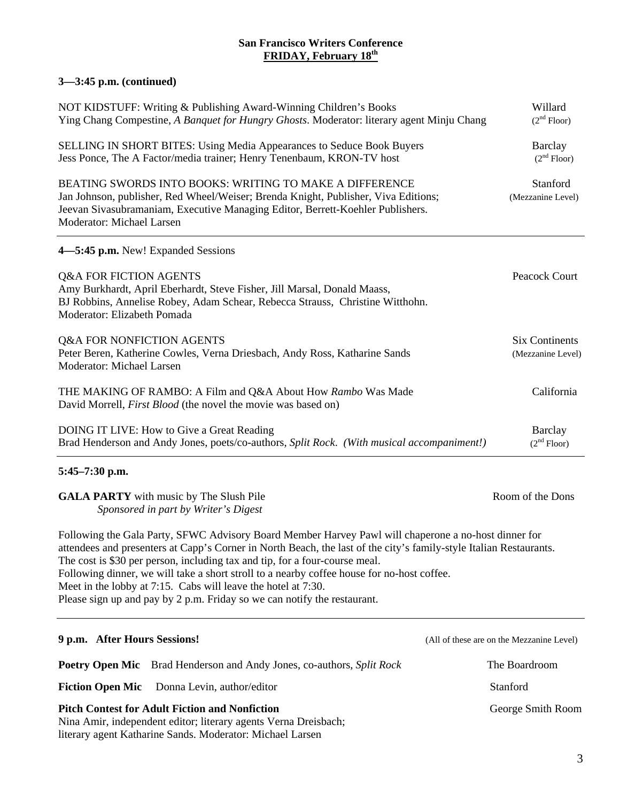#### **San Francisco Writers Conference FRIDAY, February 18th**

# **3—3:45 p.m. (continued)**

| NOT KIDSTUFF: Writing & Publishing Award-Winning Children's Books<br>Ying Chang Compestine, A Banquet for Hungry Ghosts. Moderator: literary agent Minju Chang                                                                                                                                                                                                                                                                                                                                                                                       | Willard<br>(2 <sup>nd</sup> Floor)         |  |
|------------------------------------------------------------------------------------------------------------------------------------------------------------------------------------------------------------------------------------------------------------------------------------------------------------------------------------------------------------------------------------------------------------------------------------------------------------------------------------------------------------------------------------------------------|--------------------------------------------|--|
| SELLING IN SHORT BITES: Using Media Appearances to Seduce Book Buyers<br>Jess Ponce, The A Factor/media trainer; Henry Tenenbaum, KRON-TV host                                                                                                                                                                                                                                                                                                                                                                                                       | <b>Barclay</b><br>(2 <sup>nd</sup> Floor)  |  |
| <b>BEATING SWORDS INTO BOOKS: WRITING TO MAKE A DIFFERENCE</b><br>Jan Johnson, publisher, Red Wheel/Weiser; Brenda Knight, Publisher, Viva Editions;<br>Jeevan Sivasubramaniam, Executive Managing Editor, Berrett-Koehler Publishers.<br>Moderator: Michael Larsen                                                                                                                                                                                                                                                                                  | Stanford<br>(Mezzanine Level)              |  |
| 4—5:45 p.m. New! Expanded Sessions                                                                                                                                                                                                                                                                                                                                                                                                                                                                                                                   |                                            |  |
| Q&A FOR FICTION AGENTS<br>Amy Burkhardt, April Eberhardt, Steve Fisher, Jill Marsal, Donald Maass,<br>BJ Robbins, Annelise Robey, Adam Schear, Rebecca Strauss, Christine Witthohn.<br>Moderator: Elizabeth Pomada                                                                                                                                                                                                                                                                                                                                   | Peacock Court                              |  |
| Q&A FOR NONFICTION AGENTS<br>Peter Beren, Katherine Cowles, Verna Driesbach, Andy Ross, Katharine Sands<br>Moderator: Michael Larsen                                                                                                                                                                                                                                                                                                                                                                                                                 | <b>Six Continents</b><br>(Mezzanine Level) |  |
| THE MAKING OF RAMBO: A Film and Q&A About How Rambo Was Made<br>David Morrell, <i>First Blood</i> (the novel the movie was based on)                                                                                                                                                                                                                                                                                                                                                                                                                 | California                                 |  |
| DOING IT LIVE: How to Give a Great Reading<br>Brad Henderson and Andy Jones, poets/co-authors, Split Rock. (With musical accompaniment!)                                                                                                                                                                                                                                                                                                                                                                                                             | <b>Barclay</b><br>(2 <sup>nd</sup> Floor)  |  |
| 5:45-7:30 p.m.                                                                                                                                                                                                                                                                                                                                                                                                                                                                                                                                       |                                            |  |
| <b>GALA PARTY</b> with music by The Slush Pile<br>Sponsored in part by Writer's Digest                                                                                                                                                                                                                                                                                                                                                                                                                                                               | Room of the Dons                           |  |
| Following the Gala Party, SFWC Advisory Board Member Harvey Pawl will chaperone a no-host dinner for<br>attendees and presenters at Capp's Corner in North Beach, the last of the city's family-style Italian Restaurants.<br>The cost is \$30 per person, including tax and tip, for a four-course meal.<br>Following dinner, we will take a short stroll to a nearby coffee house for no-host coffee.<br>Meet in the lobby at 7:15. Cabs will leave the hotel at 7:30.<br>Please sign up and pay by 2 p.m. Friday so we can notify the restaurant. |                                            |  |
| 9 p.m. After Hours Sessions!                                                                                                                                                                                                                                                                                                                                                                                                                                                                                                                         | (All of these are on the Mezzanine Level)  |  |
| <b>Poetry Open Mic</b> Brad Henderson and Andy Jones, co-authors, Split Rock                                                                                                                                                                                                                                                                                                                                                                                                                                                                         | The Boardroom                              |  |
| <b>Fiction Open Mic</b><br>Donna Levin, author/editor                                                                                                                                                                                                                                                                                                                                                                                                                                                                                                | Stanford                                   |  |
| <b>Pitch Contest for Adult Fiction and Nonfiction</b><br>Nina Amir, independent editor; literary agents Verna Dreisbach;                                                                                                                                                                                                                                                                                                                                                                                                                             | George Smith Room                          |  |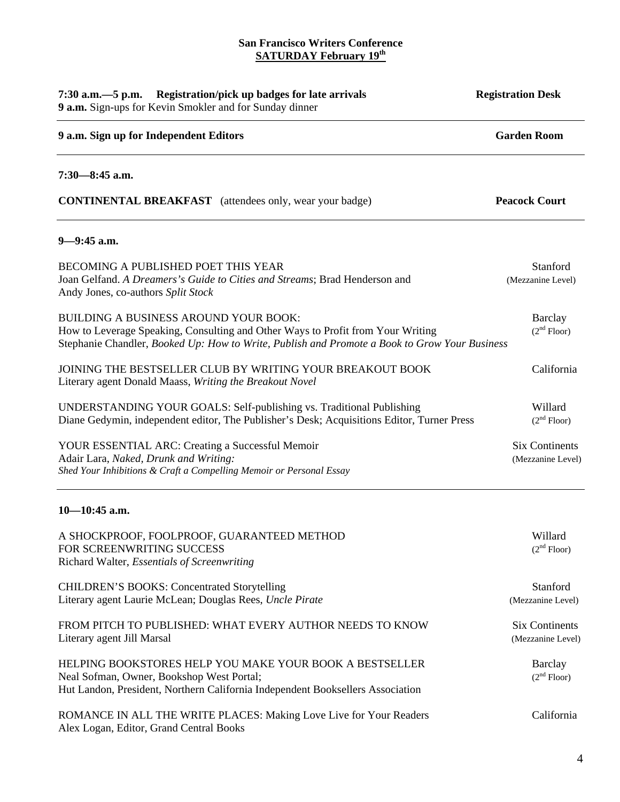#### **San Francisco Writers Conference SATURDAY February 19th**

| 7:30 a.m. -5 p.m. Registration/pick up badges for late arrivals<br>9 a.m. Sign-ups for Kevin Smokler and for Sunday dinner                                                                                                       | <b>Registration Desk</b>                   |
|----------------------------------------------------------------------------------------------------------------------------------------------------------------------------------------------------------------------------------|--------------------------------------------|
| 9 a.m. Sign up for Independent Editors                                                                                                                                                                                           | <b>Garden Room</b>                         |
| $7:30 - 8:45$ a.m.                                                                                                                                                                                                               |                                            |
| <b>CONTINENTAL BREAKFAST</b> (attendees only, wear your badge)                                                                                                                                                                   | <b>Peacock Court</b>                       |
| $9 - 9:45$ a.m.                                                                                                                                                                                                                  |                                            |
| BECOMING A PUBLISHED POET THIS YEAR<br>Joan Gelfand. A Dreamers's Guide to Cities and Streams; Brad Henderson and<br>Andy Jones, co-authors Split Stock                                                                          | Stanford<br>(Mezzanine Level)              |
| <b>BUILDING A BUSINESS AROUND YOUR BOOK:</b><br>How to Leverage Speaking, Consulting and Other Ways to Profit from Your Writing<br>Stephanie Chandler, Booked Up: How to Write, Publish and Promote a Book to Grow Your Business | <b>Barclay</b><br>(2 <sup>nd</sup> Floor)  |
| JOINING THE BESTSELLER CLUB BY WRITING YOUR BREAKOUT BOOK<br>Literary agent Donald Maass, Writing the Breakout Novel                                                                                                             | California                                 |
| UNDERSTANDING YOUR GOALS: Self-publishing vs. Traditional Publishing<br>Diane Gedymin, independent editor, The Publisher's Desk; Acquisitions Editor, Turner Press                                                               | Willard<br>(2 <sup>nd</sup> Floor)         |
| YOUR ESSENTIAL ARC: Creating a Successful Memoir<br>Adair Lara, Naked, Drunk and Writing:<br>Shed Your Inhibitions & Craft a Compelling Memoir or Personal Essay                                                                 | <b>Six Continents</b><br>(Mezzanine Level) |
| $10 - 10:45$ a.m.                                                                                                                                                                                                                |                                            |
| A SHOCKPROOF, FOOLPROOF, GUARANTEED METHOD<br>FOR SCREENWRITING SUCCESS<br>Richard Walter, <i>Essentials of Screenwriting</i>                                                                                                    | Willard<br>(2 <sup>nd</sup> Floor)         |
| <b>CHILDREN'S BOOKS: Concentrated Storytelling</b><br>Literary agent Laurie McLean; Douglas Rees, Uncle Pirate                                                                                                                   | Stanford<br>(Mezzanine Level)              |
| FROM PITCH TO PUBLISHED: WHAT EVERY AUTHOR NEEDS TO KNOW<br>Literary agent Jill Marsal                                                                                                                                           | <b>Six Continents</b><br>(Mezzanine Level) |
| HELPING BOOKSTORES HELP YOU MAKE YOUR BOOK A BESTSELLER<br>Neal Sofman, Owner, Bookshop West Portal;<br>Hut Landon, President, Northern California Independent Booksellers Association                                           | <b>Barclay</b><br>(2 <sup>nd</sup> Floor)  |
| ROMANCE IN ALL THE WRITE PLACES: Making Love Live for Your Readers<br>Alex Logan, Editor, Grand Central Books                                                                                                                    | California                                 |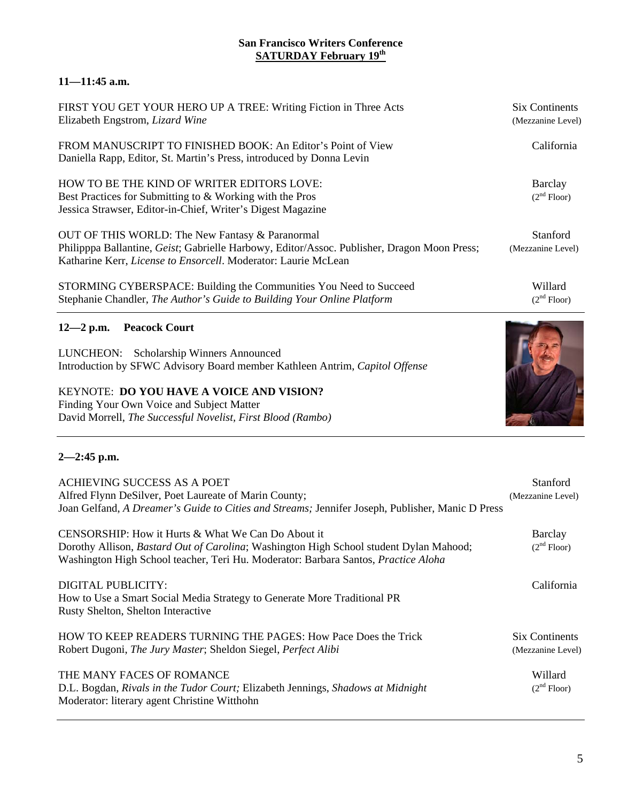## **San Francisco Writers Conference SATURDAY February 19th**

## **11—11:45 a.m.**

| FIRST YOU GET YOUR HERO UP A TREE: Writing Fiction in Three Acts<br>Elizabeth Engstrom, Lizard Wine                                                                                                              | <b>Six Continents</b><br>(Mezzanine Level) |
|------------------------------------------------------------------------------------------------------------------------------------------------------------------------------------------------------------------|--------------------------------------------|
| FROM MANUSCRIPT TO FINISHED BOOK: An Editor's Point of View<br>Daniella Rapp, Editor, St. Martin's Press, introduced by Donna Levin                                                                              | California                                 |
| HOW TO BE THE KIND OF WRITER EDITORS LOVE:<br>Best Practices for Submitting to & Working with the Pros<br>Jessica Strawser, Editor-in-Chief, Writer's Digest Magazine                                            | Barclay<br>(2 <sup>nd</sup> Floor)         |
| OUT OF THIS WORLD: The New Fantasy & Paranormal<br>Philipppa Ballantine, Geist; Gabrielle Harbowy, Editor/Assoc. Publisher, Dragon Moon Press;<br>Katharine Kerr, License to Ensorcell. Moderator: Laurie McLean | Stanford<br>(Mezzanine Level)              |
| STORMING CYBERSPACE: Building the Communities You Need to Succeed<br>Stephanie Chandler, The Author's Guide to Building Your Online Platform                                                                     | Willard<br>(2 <sup>nd</sup> Floor)         |
| <b>Peacock Court</b><br>$12 - 2$ p.m.                                                                                                                                                                            |                                            |
| LUNCHEON:<br>Scholarship Winners Announced<br>Introduction by SFWC Advisory Board member Kathleen Antrim, Capitol Offense                                                                                        |                                            |

## KEYNOTE: **DO YOU HAVE A VOICE AND VISION?**

Finding Your Own Voice and Subject Matter David Morrell, *The Successful Novelist, First Blood (Rambo)* 

# **2—2:45 p.m.**

| ACHIEVING SUCCESS AS A POET<br>Alfred Flynn DeSilver, Poet Laureate of Marin County;<br>Joan Gelfand, A Dreamer's Guide to Cities and Streams; Jennifer Joseph, Publisher, Manic D Press                                                   | Stanford<br>(Mezzanine Level)              |
|--------------------------------------------------------------------------------------------------------------------------------------------------------------------------------------------------------------------------------------------|--------------------------------------------|
| CENSORSHIP: How it Hurts & What We Can Do About it<br>Dorothy Allison, <i>Bastard Out of Carolina</i> ; Washington High School student Dylan Mahood;<br>Washington High School teacher, Teri Hu. Moderator: Barbara Santos, Practice Aloha | Barclay<br>(2 <sup>nd</sup> Floor)         |
| DIGITAL PUBLICITY:<br>How to Use a Smart Social Media Strategy to Generate More Traditional PR<br>Rusty Shelton, Shelton Interactive                                                                                                       | California                                 |
| <b>HOW TO KEEP READERS TURNING THE PAGES: How Pace Does the Trick</b><br>Robert Dugoni, The Jury Master; Sheldon Siegel, Perfect Alibi                                                                                                     | <b>Six Continents</b><br>(Mezzanine Level) |
| THE MANY FACES OF ROMANCE<br>D.L. Bogdan, Rivals in the Tudor Court; Elizabeth Jennings, Shadows at Midnight<br>Moderator: literary agent Christine Witthohn                                                                               | Willard<br>(2 <sup>nd</sup> Floor)         |

M,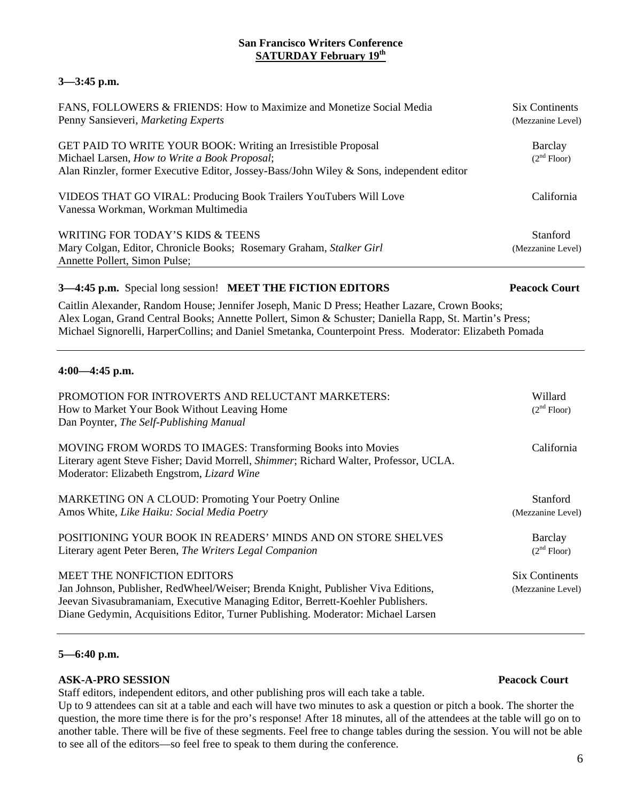#### **San Francisco Writers Conference SATURDAY February 19th**

## **3—3:45 p.m.**

| FANS, FOLLOWERS & FRIENDS: How to Maximize and Monetize Social Media<br>Penny Sansieveri, Marketing Experts                                                                                                | <b>Six Continents</b><br>(Mezzanine Level) |
|------------------------------------------------------------------------------------------------------------------------------------------------------------------------------------------------------------|--------------------------------------------|
| GET PAID TO WRITE YOUR BOOK: Writing an Irresistible Proposal<br>Michael Larsen, How to Write a Book Proposal;<br>Alan Rinzler, former Executive Editor, Jossey-Bass/John Wiley & Sons, independent editor | Barclay<br>(2 <sup>nd</sup> Floor)         |
| VIDEOS THAT GO VIRAL: Producing Book Trailers YouTubers Will Love<br>Vanessa Workman, Workman Multimedia                                                                                                   | California                                 |
| WRITING FOR TODAY'S KIDS & TEENS<br>Mary Colgan, Editor, Chronicle Books; Rosemary Graham, Stalker Girl<br>Annette Pollert, Simon Pulse;                                                                   | Stanford<br>(Mezzanine Level)              |

#### **3—4:45 p.m.** Special long session! **MEET THE FICTION EDITORS Peacock Court**

Caitlin Alexander, Random House; Jennifer Joseph, Manic D Press; Heather Lazare, Crown Books; Alex Logan, Grand Central Books; Annette Pollert, Simon & Schuster; Daniella Rapp, St. Martin's Press; Michael Signorelli, HarperCollins; and Daniel Smetanka, Counterpoint Press. Moderator: Elizabeth Pomada

#### **4:00—4:45 p.m.**

| <b>PROMOTION FOR INTROVERTS AND RELUCTANT MARKETERS:</b><br>How to Market Your Book Without Leaving Home<br>Dan Poynter, The Self-Publishing Manual                                                                                                                                   | Willard<br>(2 <sup>nd</sup> Floor)        |
|---------------------------------------------------------------------------------------------------------------------------------------------------------------------------------------------------------------------------------------------------------------------------------------|-------------------------------------------|
| <b>MOVING FROM WORDS TO IMAGES: Transforming Books into Movies</b><br>Literary agent Steve Fisher; David Morrell, Shimmer; Richard Walter, Professor, UCLA.<br>Moderator: Elizabeth Engstrom, Lizard Wine                                                                             | California                                |
| MARKETING ON A CLOUD: Promoting Your Poetry Online<br>Amos White, Like Haiku: Social Media Poetry                                                                                                                                                                                     | Stanford<br>(Mezzanine Level)             |
| POSITIONING YOUR BOOK IN READERS' MINDS AND ON STORE SHELVES<br>Literary agent Peter Beren, The Writers Legal Companion                                                                                                                                                               | <b>Barclay</b><br>(2 <sup>nd</sup> Floor) |
| MEET THE NONFICTION EDITORS<br>Jan Johnson, Publisher, RedWheel/Weiser; Brenda Knight, Publisher Viva Editions,<br>Jeevan Sivasubramaniam, Executive Managing Editor, Berrett-Koehler Publishers.<br>Diane Gedymin, Acquisitions Editor, Turner Publishing. Moderator: Michael Larsen | Six Continents<br>(Mezzanine Level)       |

#### **5—6:40 p.m.**

## **ASK-A-PRO SESSION Peacock Court**

Staff editors, independent editors, and other publishing pros will each take a table.

Up to 9 attendees can sit at a table and each will have two minutes to ask a question or pitch a book. The shorter the question, the more time there is for the pro's response! After 18 minutes, all of the attendees at the table will go on to another table. There will be five of these segments. Feel free to change tables during the session. You will not be able to see all of the editors—so feel free to speak to them during the conference.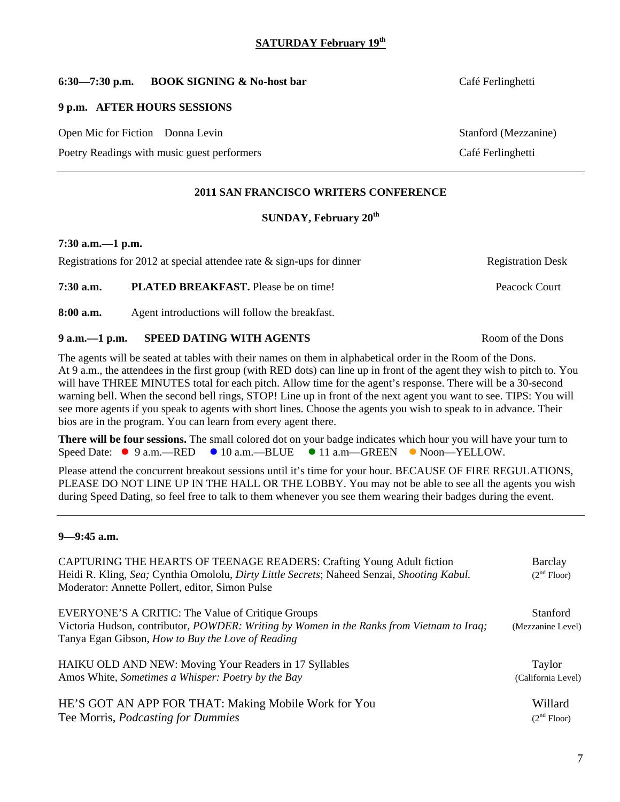#### **6:30—7:30 p.m. BOOK SIGNING & No-host bar** Café Ferlinghetti

#### **9 p.m. AFTER HOURS SESSIONS**

Open Mic for Fiction Donna Levin Stanford (Mezzanine) Stanford (Mezzanine)

Poetry Readings with music guest performers **Café Ferlinghetti** Café Ferlinghetti

#### **2011 SAN FRANCISCO WRITERS CONFERENCE**

## **SUNDAY, February 20th**

#### **7:30 a.m.—1 p.m.**

Registrations for 2012 at special attendee rate & sign-ups for dinner Registration Desk **7:30 a.m. PLATED BREAKFAST.** Please be on time! Peacock Court

**8:00 a.m.** Agent introductions will follow the breakfast.

#### **9 a.m.**—1 p.m. SPEED DATING WITH AGENTS Room of the Dons

The agents will be seated at tables with their names on them in alphabetical order in the Room of the Dons. At 9 a.m., the attendees in the first group (with RED dots) can line up in front of the agent they wish to pitch to. You will have THREE MINUTES total for each pitch. Allow time for the agent's response. There will be a 30-second warning bell. When the second bell rings, STOP! Line up in front of the next agent you want to see. TIPS: You will see more agents if you speak to agents with short lines. Choose the agents you wish to speak to in advance. Their bios are in the program. You can learn from every agent there.

**There will be four sessions.** The small colored dot on your badge indicates which hour you will have your turn to Speed Date:  $\bullet$  9 a.m.—RED  $\bullet$  10 a.m.—BLUE  $\bullet$  11 a.m—GREEN  $\bullet$  Noon—YELLOW.

Please attend the concurrent breakout sessions until it's time for your hour. BECAUSE OF FIRE REGULATIONS, PLEASE DO NOT LINE UP IN THE HALL OR THE LOBBY. You may not be able to see all the agents you wish during Speed Dating, so feel free to talk to them whenever you see them wearing their badges during the event.

#### **9—9:45 a.m.**

| <b>CAPTURING THE HEARTS OF TEENAGE READERS: Crafting Young Adult fiction</b><br>Heidi R. Kling, Sea; Cynthia Omololu, Dirty Little Secrets; Naheed Senzai, Shooting Kabul.<br>Moderator: Annette Pollert, editor, Simon Pulse | Barclay<br>(2 <sup>nd</sup> Floor) |
|-------------------------------------------------------------------------------------------------------------------------------------------------------------------------------------------------------------------------------|------------------------------------|
| EVERYONE'S A CRITIC: The Value of Critique Groups<br>Victoria Hudson, contributor, POWDER: Writing by Women in the Ranks from Vietnam to Iraq;<br>Tanya Egan Gibson, How to Buy the Love of Reading                           | Stanford<br>(Mezzanine Level)      |
| HAIKU OLD AND NEW: Moving Your Readers in 17 Syllables                                                                                                                                                                        | Taylor                             |
| Amos White, Sometimes a Whisper: Poetry by the Bay                                                                                                                                                                            | (California Level)                 |
| HE'S GOT AN APP FOR THAT: Making Mobile Work for You                                                                                                                                                                          | Willard                            |
| Tee Morris, <i>Podcasting for Dummies</i>                                                                                                                                                                                     | (2 <sup>nd</sup> Floor)            |